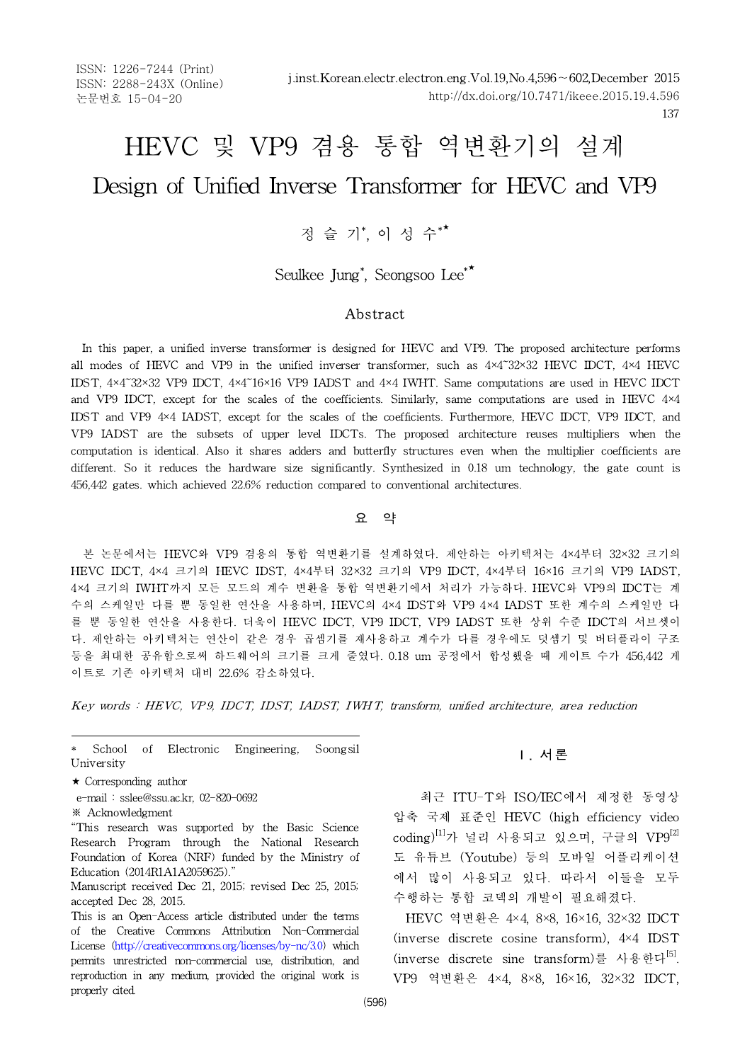ISSN: 1226-7244 (Print) ISSN: 2288-243X (Online) 논문번호 15-04-20

# HEVC 및 VP9 겸용 통합 역변환기의 설계 Design of Unified Inverse Transformer for HEVC and VP9

## 정 슬 기\* , <sup>이</sup> <sup>성</sup> <sup>수</sup>\*★

Seulkee Jung\* , Seongsoo Lee\*★

#### Abstract

In this paper, a unified inverse transformer is designed for HEVC and VP9. The proposed architecture performs all modes of HEVC and VP9 in the unified inverser transformer, such as  $4\times4\times32\times32$  HEVC IDCT,  $4\times4$  HEVC IDST, 4×4~32×32 VP9 IDCT, 4×4~16×16 VP9 IADST and 4×4 IWHT. Same computations are used in HEVC IDCT and VP9 IDCT, except for the scales of the coefficients. Similarly, same computations are used in HEVC 4×4 IDST and VP9 4×4 IADST, except for the scales of the coefficients. Furthermore, HEVC IDCT, VP9 IDCT, and VP9 IADST are the subsets of upper level IDCTs. The proposed architecture reuses multipliers when the computation is identical. Also it shares adders and butterfly structures even when the multiplier coefficients are different. So it reduces the hardware size significantly. Synthesized in 0.18 um technology, the gate count is 456,442 gates. which achieved 22.6% reduction compared to conventional architectures.

#### 요 약

본 논문에서는 HEVC와 VP9 겸용의 통합 역변환기를 설계하였다. 제안하는 아키텍처는 4×4부터 32×32 크기의 HEVC IDCT,4×4 크기의 HEVC IDST,4×4부터 32×32 크기의 VP9 IDCT, 4×4부터 16×16 크기의 VP9 IADST, 4×4 크기의 IWHT까지 모든 모드의 계수 변환을 통합 역변환기에서 처리가 가능하다. HEVC와 VP9의 IDCT는 계 수의 스케일만 다를 뿐 동일한 연산을 사용하며, HEVC의 4×4 IDST와 VP9 4×4 IADST 또한 계수의 스케일만 다 를 뿐 동일한 연산을 사용한다. 더욱이 HEVC IDCT,VP9 IDCT, VP9 IADST 또한 상위 수준 IDCT의 서브셋이 다. 제안하는 아키텍처는 연산이 같은 경우 곱셈기를 재사용하고 계수가 다를 경우에도 덧셈기 및 버터플라이 구조 등을 최대한 공유함으로써 하드웨어의 크기를 크게 줄였다. 0.18 um 공정에서 합성했을 때 게이트 수가 456,442 게 이트로 기존 아키텍처 대비 22.6% 감소하였다. 다. 제안하는 아키텍처는 연산이 같은 경우 곱셈기를 재사용하고 계수가 다를 경우에도 덧셈기 및 버터플라이 구조<br>등을 최대한 공유함으로써 하드웨어의 크기를 크게 줄였다. 0.18 um 공정에서 합성했을 때 게이트 수가 456,442 게<br>이트로 기존 아키텍처 대비 22.6% 감소하였다.<br>*Key words : HEVC, VP9, IDCT, IDST, IADST, IWHT, transform, un* 

School of Electronic Engineering, Soongsil University

- e-mail : sslee@ssu.ac.kr, 02-820-0692
- ※ Acknowledgment

"This research was supported by the Basic Science Research Program through the National Research Foundation of Korea (NRF) funded by the Ministry of Education (2014R1A1A2059625)."

Manuscript received Dec 21, 2015; revised Dec 25, 2015; accepted Dec 28, 2015.

This is an Open-Access article distributed under the terms of the Creative Commons Attribution Non-Commercial License (http://creativecommons.org/licenses/by-nc/3.0) which permits unrestricted non-commercial use, distribution, and reproduction in any medium, provided the original work is properly cited.

#### Ⅰ. 서론

최근 ITU-T와 ISO/IEC에서 제정한 동영상 압축 국제 표준인 HEVC (high efficiency video  $\mathrm{coding}$ ) $^{[1]}$ 가 널리 사용되고 있으며, 구글의  $\mathrm{VP}^{[2]}$ 도 유튜브 (Youtube) 등의 모바일 어플리케이션 에서 많이 사용되고 있다. 따라서 이들을 모두 수행하는 통합 코덱의 개발이 필요해졌다.

HEVC 역변환은 4×4, 8×8, 16×16, 32×32 IDCT (inverse discrete cosine transform), 4×4 IDST (inverse discrete sine transform)를 사용한다[5]. VP9 역변환은 4×4, 8×8, 16×16, 32×32 IDCT,

<sup>★</sup> Corresponding author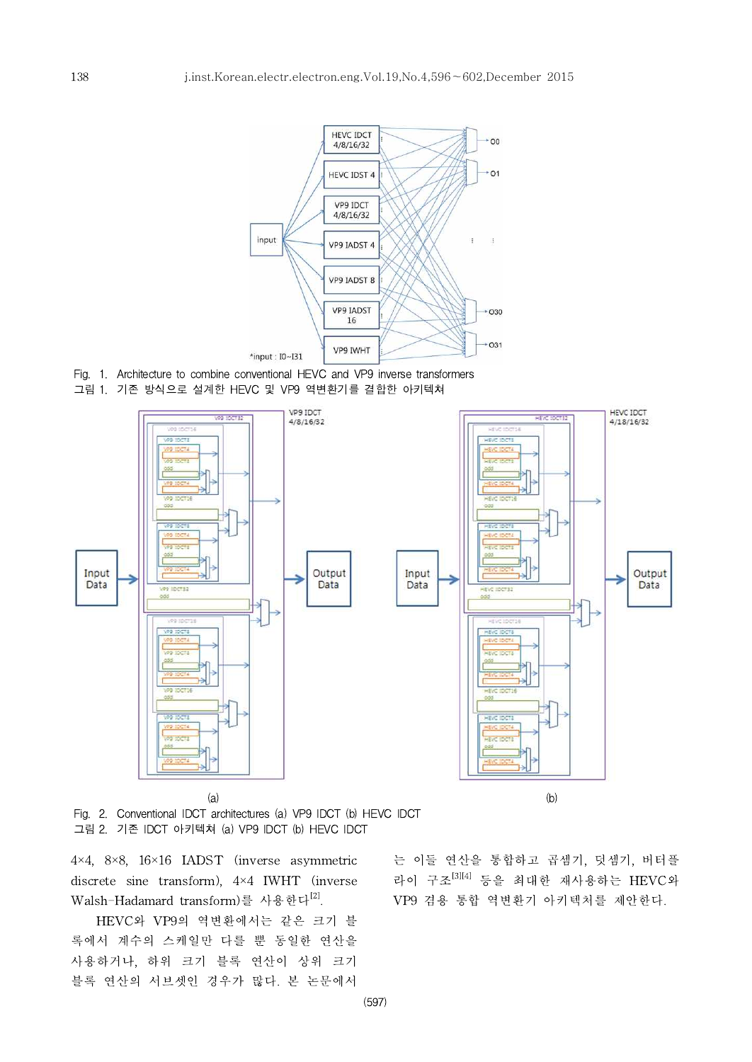

- Fig. 1. Architecture to combine conventional HEVC and VP9 inverse transformers
- 그림 1. 기존 방식으로 설계한 HEVC 및 VP9 역변환기를 결합한 아키텍쳐



Fig. 2. Conventional IDCT architectures (a) VP9 IDCT (b) HEVC IDCT 그림 2. 기존 IDCT 아키텍쳐 (a) VP9 IDCT (b) HEVC IDCT

4×4, 8×8, 16×16 IADST (inverse asymmetric discrete sine transform), 4×4 IWHT (inverse Walsh-Hadamard transform)를 사용한다[2].

HEVC와 VP9의 역변환에서는 같은 크기 블 록에서 계수의 스케일만 다를 뿐 동일한 연산을 사용하거나, 하위 크기 블록 연산이 상위 크기 블록 연산의 서브셋인 경우가 많다. 본 논문에서

는 이들 연산을 통합하고 곱셈기, 덧셈기, 버터플 라이 구조[3][4] 등을 최대한 재사용하는 HEVC와 VP9 겸용 통합 역변환기 아키텍처를 제안한다.

(597)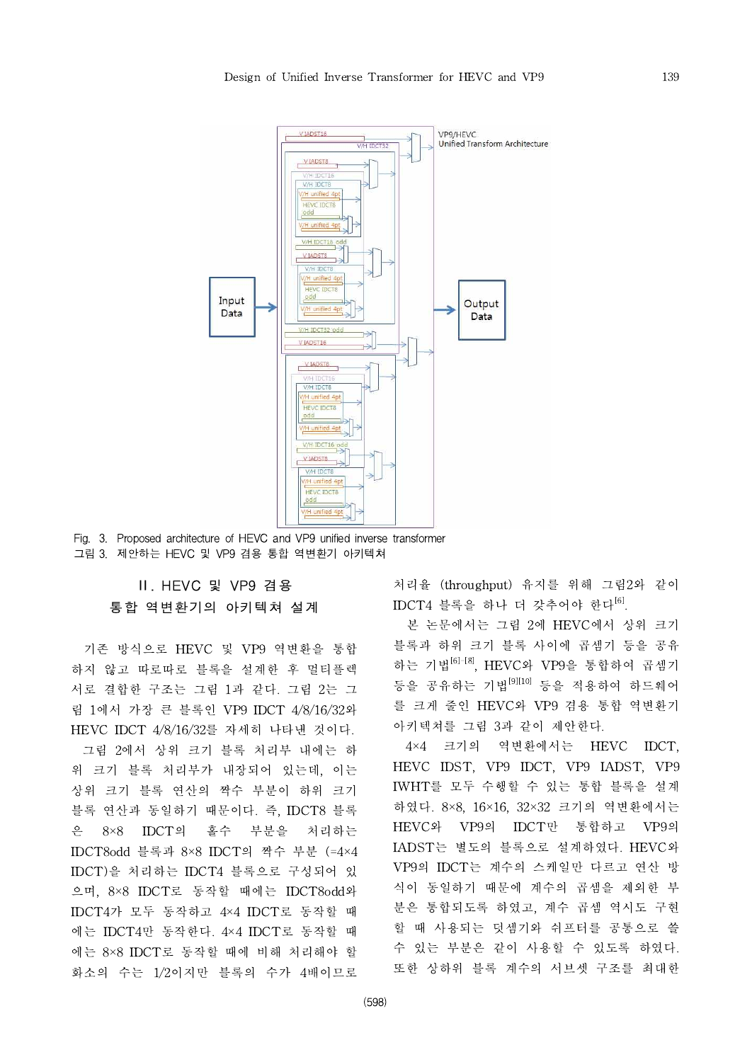

Fig. 3. Proposed architecture of HEVC and VP9 unified inverse transformer 그림 3. 제안하는 HEVC 및 VP9 겸용 통합 역변환기 아키텍쳐

### Ⅱ. HEVC 및 VP9 겸용 통합 역변환기의 아키텍쳐 설계

기존 방식으로 HEVC 및 VP9 역변환을 통합 하지 않고 따로따로 블록을 설계한 후 멀티플렉 서로 결합한 구조는 그림 1과 같다. 그림 2는 그 림 1에서 가장 큰 블록인 VP9 IDCT 4/8/16/32와 HEVC IDCT 4/8/16/32를 자세히 나타낸 것이다. 그림 2에서 상위 크기 블록 처리부 내에는 하 위 크기 블록 처리부가 내장되어 있는데, 이는 상위 크기 블록 연산의 짝수 부분이 하위 크기 블록 연산과 동일하기 때문이다. 즉, IDCT8 블록 은 8×8 IDCT의 홀수 부분을 처리하는 IDCT8odd 블록과 8×8 IDCT의 짝수 부분 (=4×4 IDCT)을 처리하는 IDCT4블록으로 구성되어 있 으며, 8×8 IDCT로 동작할 때에는 IDCT8odd와 IDCT4가 모두 동작하고 4×4 IDCT로 동작할 때 에는 IDCT4만 동작한다. 4×4 IDCT로 동작할 때 에는 8×8 IDCT로 동작할 때에 비해 처리해야 할 화소의 수는 1/2이지만 블록의 수가 4배이므로 처리율 (throughput) 유지를 위해 그림2와 같이  $IDCT4$  블록을 하나 더 갖추어야 한다 $^{[6]}$ .

본 논문에서는 그림 2에 HEVC에서 상위 크기 블록과 하위 크기 블록 사이에 곱셈기 등을 공유 하는 기법[6]-[8], HEVC와 VP9을 통합하여 곱셈기 등을 공유하는 기법[9][10] 등을 적용하여 하드웨어 를 크게 줄인 HEVC와 VP9 겸용 통합 역변환기 아키텍쳐를 그림 3과 같이 제안한다.

4×4 크기의 역변환에서는 HEVC IDCT, HEVC IDST, VP9 IDCT, VP9 IADST, VP9 IWHT를 모두 수행할 수 있는 통합 블록을 설계 하였다. 8×8, 16×16, 32×32 크기의 역변환에서는 HEVC와 VP9의 IDCT만 통합하고 VP9의 IADST는 별도의 블록으로 설계하였다. HEVC와 VP9의 IDCT는 계수의 스케일만 다르고 연산 방 식이 동일하기 때문에 계수의 곱셈을 제외한 부 분은 통합되도록 하였고, 계수 곱셈 역시도 구현 할 때 사용되는 덧셈기와 쉬프터를 공통으로 쓸 수 있는 부분은 같이 사용할 수 있도록 하였다. 또한 상하위 블록 계수의 서브셋 구조를 최대한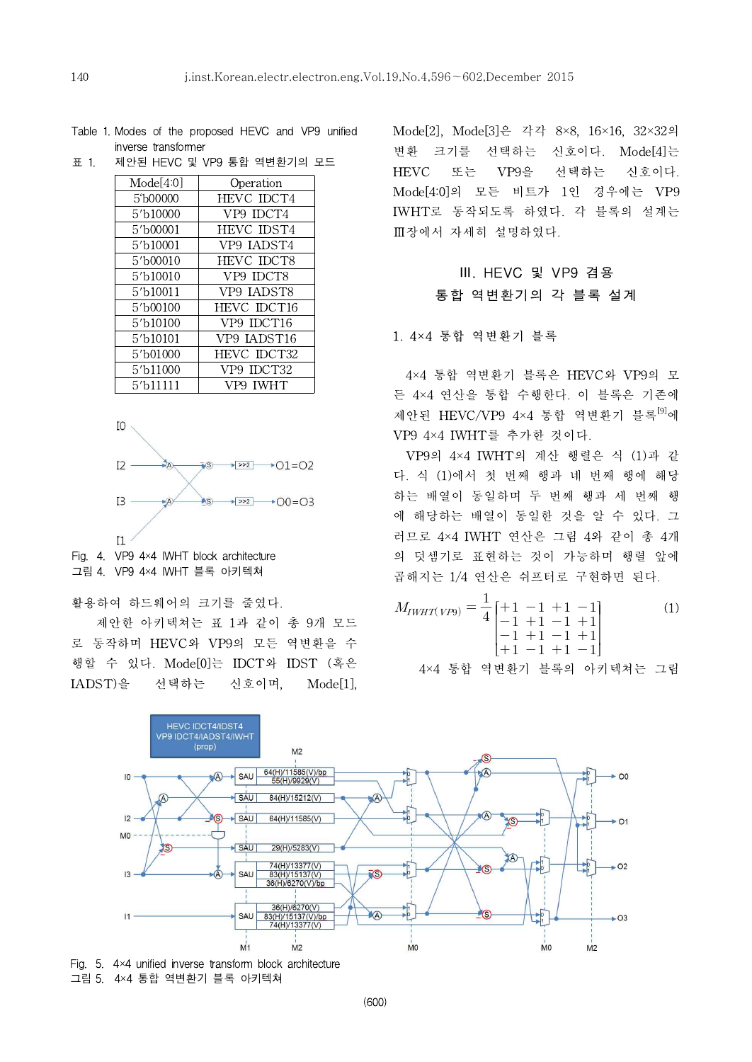Table 1. Modes of the proposed HEVC and VP9 unified inverse transformer

| Mode[4:0] | Operation   |
|-----------|-------------|
| 5'b00000  | HEVC IDCT4  |
| 5'b10000  | VP9 IDCT4   |
| 5'b00001  | HEVC IDST4  |
| 5'b10001  | VP9 IADST4  |
| 5'b00010  | HEVC IDCT8  |
| 5'b10010  | VP9 IDCT8   |
| 5'b10011  | VP9 JADST8  |
| 5'b00100  | HEVC IDCT16 |
| 5'b10100  | VP9 IDCT16  |
| 5'b10101  | VP9 JADST16 |
| 5'b01000  | HEVC IDCT32 |
| 5'b11000  | VP9 IDCT32  |
| 5′b11111  | VP9 IWHT    |



Fig. 4. VP9 4×4 IWHT block architecture 그림 4. VP9 4×4 IWHT 블록 아키텍쳐

활용하여 하드웨어의 크기를 줄였다.

제안한 아키텍쳐는 표 1과 같이 총 9개 모드 로 동작하며 HEVC와 VP9의 모든 역변환을 수 행할 수 있다. Mode[0]는 IDCT와 IDST (혹은 IADST)을 선택하는 신호이며, Mode[1], Mode[2], Mode[3]은 각각 8×8, 16×16, 32×32의 변환 크기를 선택하는 신호이다. Mode[4]는 HEVC 또는 VP9을 선택하는 신호이다. Mode[4:0]의 모든 비트가 1인 경우에는 VP9 IWHT로 동작되도록 하였다. 각 블록의 설계는 Ⅲ장에서 자세히 설명하였다.

## Ⅲ. HEVC 및 VP9 겸용 통합 역변환기의 각 블록 설계

#### 1. 4×4 통합 역변환기 블록

4×4 통합 역변환기 블록은 HEVC와 VP9의 모 든 4×4 연산을 통합 수행한다. 이 블록은 기존에 제안된 HEVC/VP9 4×4 통합 역변환기 블록<sup>[9]</sup>에 VP9 4×4 IWHT를 추가한 것이다.

VP9의 4×4 IWHT의 계산 행렬은 식 (1)과 같 다. 식 (1)에서 첫 번째 행과 네 번째 행에 해당 하는 배열이 동일하며 두 번째 행과 세 번째 행 에 해당하는 배열이 동일한 것을 알 수 있다. 그 러므로 4×4 IWHT 연산은 그림 4와 같이 총 4개 의 덧셈기로 표현하는 것이 가능하며 행렬 앞에 곱해지는 1/4 연산은 쉬프터로 구현하면 된다.

$$
M_{IWHT(VP9)} = \frac{1}{4} \begin{bmatrix} +1 & -1 & +1 & -1 \\ -1 & +1 & -1 & +1 \\ -1 & +1 & -1 & +1 \\ +1 & -1 & +1 & -1 \end{bmatrix}
$$
 (1)  
4×4 हti<sup>2</sup> q' P' P' P' P' P' P' P' P' P' P' P' P' P



Fig. 5.  $4 \times 4$  unified inverse transform block architecture 그림 5. 4×4 통합 역변환기 블록 아키텍쳐

표 1. 제안된 HEVC 및 VP9 통합 역변환기의 모드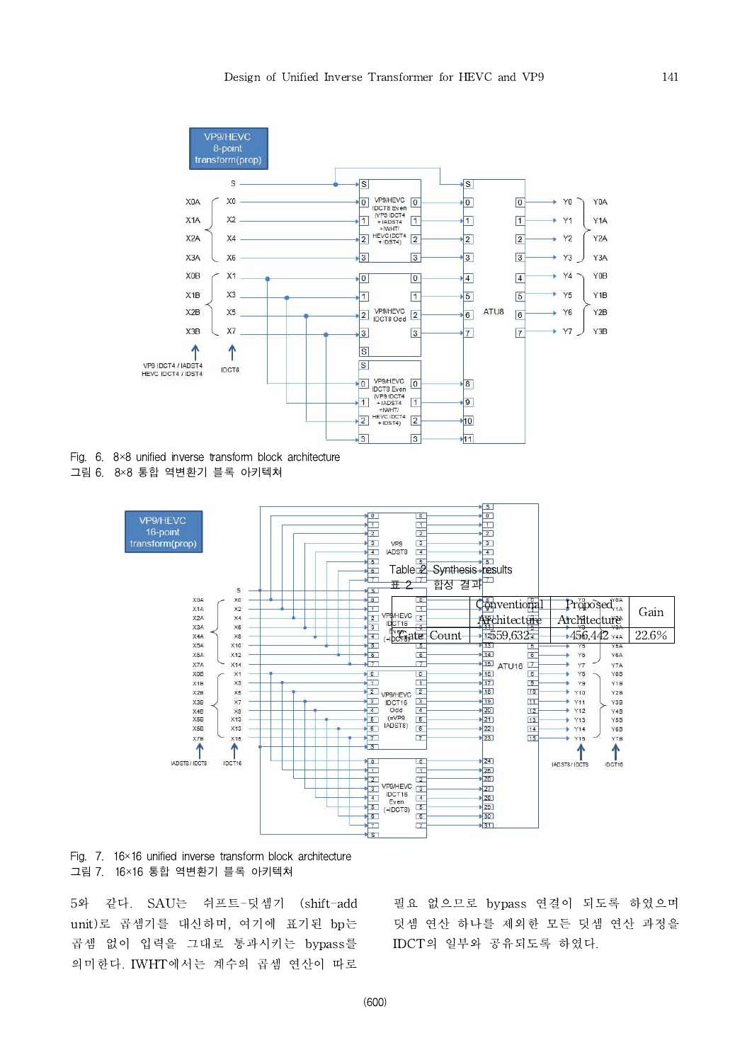

Fig.  $6. 8 \times 8$  unified inverse transform block architecture 그림 6. 8×8 통합 역변환기 블록 아키텍쳐



Fig. 7. 16×16 unified inverse transform block architecture 그림 7. 16×16 통합 역변환기 블록 아키텍쳐

5와 같다. SAU는 쉬프트-덧셈기 (shift-add unit)로 곱셈기를 대신하며, 여기에 표기된 bp는 곱셈 없이 입력을 그대로 통과시키는 bypass를 의미한다. IWHT에서는 계수의 곱셈 연산이 따로

필요 없으므로 bypass 연결이 되도록 하였으며 덧셈 연산 하나를 제외한 모든 덧셈 연산 과정을 IDCT의 일부와 공유되도록 하였다.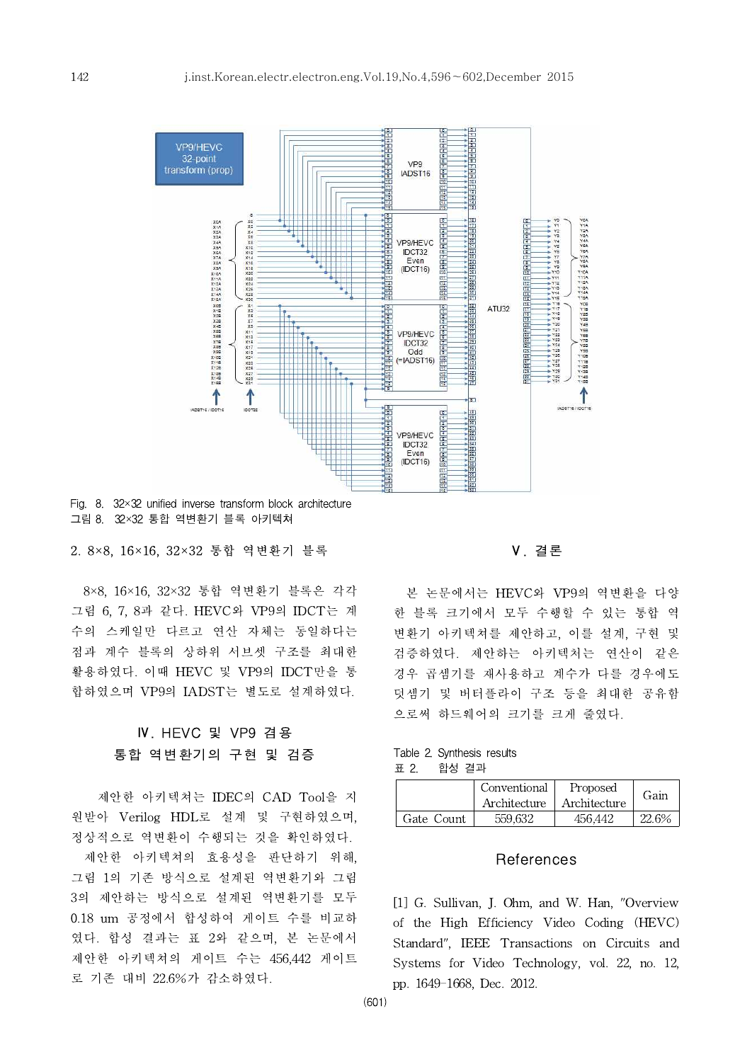

Fig. 8. 32×32 unified inverse transform block architecture 그림 8. 32×32 통합 역변환기 블록 아키텍쳐

#### 2. 8×8, 16×16, 32×32 통합 역변환기 블록

8×8, 16×16, 32×32 통합 역변환기 블록은 각각 그림 6, 7, 8과 같다. HEVC와 VP9의 IDCT는 계 수의 스케일만 다르고 연산 자체는 동일하다는 점과 계수 블록의 상하위 서브셋 구조를 최대한 활용하였다. 이때 HEVC 및 VP9의 IDCT만을 통 합하였으며 VP9의 IADST는 별도로 설계하였다.

## Ⅳ. HEVC 및 VP9 겸용 통합 역변환기의 구현 및 검증

제안한 아키텍쳐는 IDEC의 CAD Tool을 지 원받아 Verilog HDL로 설계 및 구현하였으며, 정상적으로 역변환이 수행되는 것을 확인하였다. 제안한 아키텍쳐의 효용성을 판단하기 위해, 그림 1의 기존 방식으로 설계된 역변환기와 그림 3의 제안하는 방식으로 설계된 역변환기를 모두 0.18 um 공정에서 합성하여 게이트 수를 비교하 였다. 합성 결과는 표 2와 같으며, 본 논문에서 제안한 아키텍쳐의 게이트 수는 456,442 게이트 로 기존 대비 22.6%가 감소하였다.

Ⅴ. 결론

본 논문에서는 HEVC와 VP9의 역변환을 다양 한 블록 크기에서 모두 수행할 수 있는 통합 역 변환기 아키텍쳐를 제안하고, 이를 설계, 구현 및 검증하였다. 제안하는 아키텍처는 연산이 같은 경우 곱셈기를 재사용하고 계수가 다를 경우에도 덧셈기 및 버터플라이 구조 등을 최대한 공유함 으로써 하드웨어의 크기를 크게 줄였다.

Table 2. Synthesis results 표 2. 합성 결과

|            | Conventional<br>Architecture | Proposed<br>Architecture | Gain  |
|------------|------------------------------|--------------------------|-------|
| Gate Count | 559.632                      | 456.442                  | 22.6% |

#### **References**

[1] G. Sullivan, J. Ohm, and W. Han, "Overview of the High Efficiency Video Coding (HEVC) Standard", IEEE Transactions on Circuits and Systems for Video Technology, vol. 22, no. 12, pp. 1649-1668, Dec. 2012.